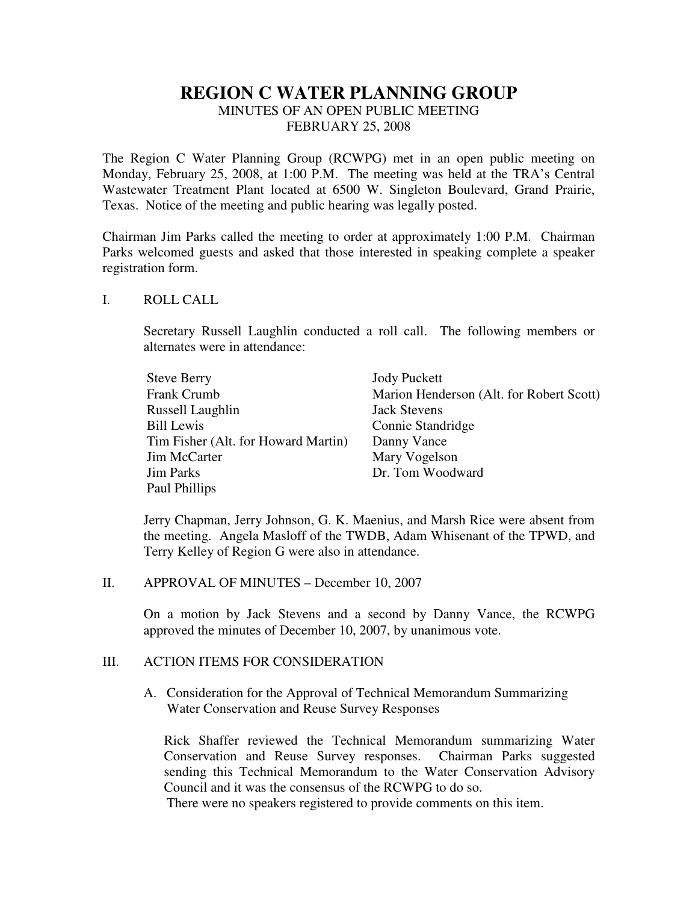# **REGION C WATER PLANNING GROUP**

MINUTES OF AN OPEN PUBLIC MEETING FEBRUARY 25, 2008

The Region C Water Planning Group (RCWPG) met in an open public meeting on Monday, February 25, 2008, at 1:00 P.M. The meeting was held at the TRA's Central Wastewater Treatment Plant located at 6500 W. Singleton Boulevard, Grand Prairie, Texas. Notice of the meeting and public hearing was legally posted.

Chairman Jim Parks called the meeting to order at approximately 1:00 P.M. Chairman Parks welcomed guests and asked that those interested in speaking complete a speaker registration form.

#### I. ROLL CALL

Secretary Russell Laughlin conducted a roll call. The following members or alternates were in attendance:

| <b>Steve Berry</b>                  | <b>Jody Puckett</b>                      |
|-------------------------------------|------------------------------------------|
| Frank Crumb                         | Marion Henderson (Alt. for Robert Scott) |
| Russell Laughlin                    | <b>Jack Stevens</b>                      |
| <b>Bill Lewis</b>                   | Connie Standridge                        |
| Tim Fisher (Alt. for Howard Martin) | Danny Vance                              |
| Jim McCarter                        | Mary Vogelson                            |
| <b>Jim Parks</b>                    | Dr. Tom Woodward                         |
| Paul Phillips                       |                                          |

Jerry Chapman, Jerry Johnson, G. K. Maenius, and Marsh Rice were absent from the meeting. Angela Masloff of the TWDB, Adam Whisenant of the TPWD, and Terry Kelley of Region G were also in attendance.

II. APPROVAL OF MINUTES – December 10, 2007

On a motion by Jack Stevens and a second by Danny Vance, the RCWPG approved the minutes of December 10, 2007, by unanimous vote.

## III. ACTION ITEMS FOR CONSIDERATION

A. Consideration for the Approval of Technical Memorandum Summarizing Water Conservation and Reuse Survey Responses

Rick Shaffer reviewed the Technical Memorandum summarizing Water Conservation and Reuse Survey responses. Chairman Parks suggested sending this Technical Memorandum to the Water Conservation Advisory Council and it was the consensus of the RCWPG to do so.

There were no speakers registered to provide comments on this item.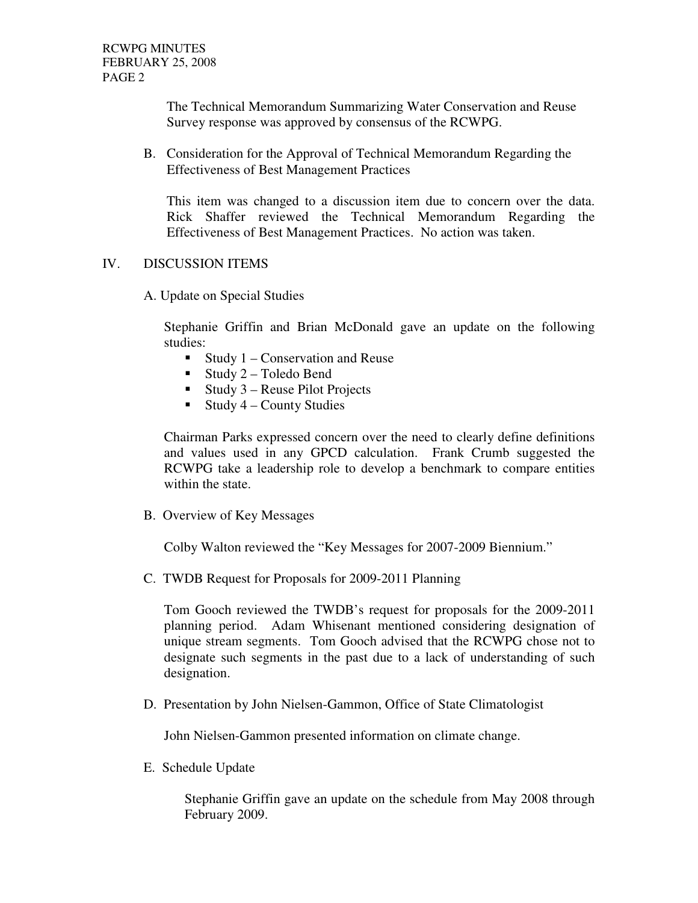The Technical Memorandum Summarizing Water Conservation and Reuse Survey response was approved by consensus of the RCWPG.

B. Consideration for the Approval of Technical Memorandum Regarding the Effectiveness of Best Management Practices

This item was changed to a discussion item due to concern over the data. Rick Shaffer reviewed the Technical Memorandum Regarding the Effectiveness of Best Management Practices. No action was taken.

## IV. DISCUSSION ITEMS

A. Update on Special Studies

Stephanie Griffin and Brian McDonald gave an update on the following studies:

- Study  $1$  Conservation and Reuse
- Study  $2$  Toledo Bend
- $\blacksquare$  Study 3 Reuse Pilot Projects
- $\blacksquare$  Study 4 County Studies

Chairman Parks expressed concern over the need to clearly define definitions and values used in any GPCD calculation. Frank Crumb suggested the RCWPG take a leadership role to develop a benchmark to compare entities within the state.

B. Overview of Key Messages

Colby Walton reviewed the "Key Messages for 2007-2009 Biennium."

C. TWDB Request for Proposals for 2009-2011 Planning

Tom Gooch reviewed the TWDB's request for proposals for the 2009-2011 planning period. Adam Whisenant mentioned considering designation of unique stream segments. Tom Gooch advised that the RCWPG chose not to designate such segments in the past due to a lack of understanding of such designation.

D. Presentation by John Nielsen-Gammon, Office of State Climatologist

John Nielsen-Gammon presented information on climate change.

E. Schedule Update

Stephanie Griffin gave an update on the schedule from May 2008 through February 2009.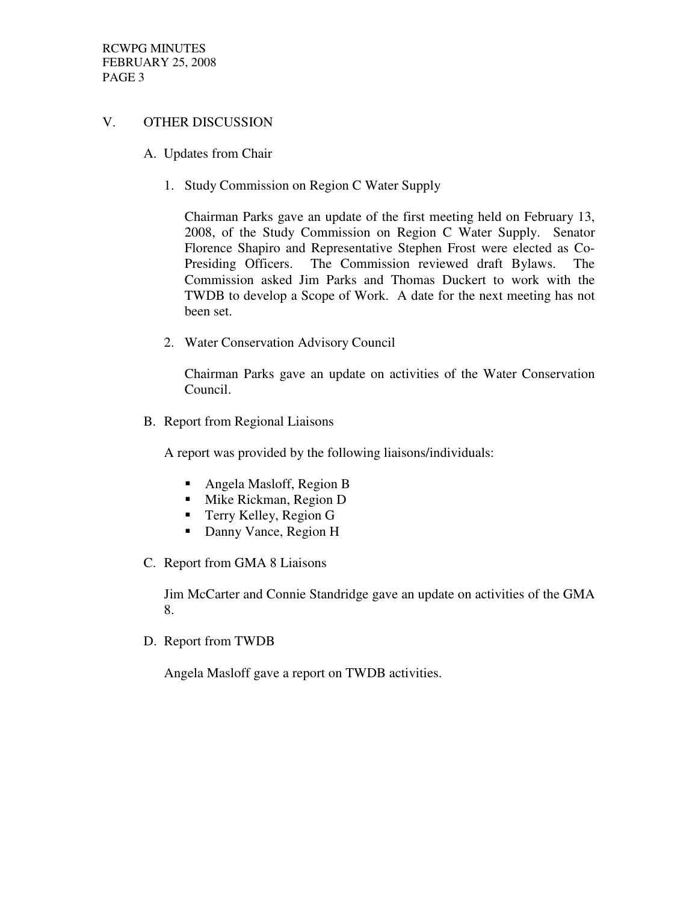#### V. OTHER DISCUSSION

- A. Updates from Chair
	- 1. Study Commission on Region C Water Supply

Chairman Parks gave an update of the first meeting held on February 13, 2008, of the Study Commission on Region C Water Supply. Senator Florence Shapiro and Representative Stephen Frost were elected as Co-Presiding Officers. The Commission reviewed draft Bylaws. The Commission asked Jim Parks and Thomas Duckert to work with the TWDB to develop a Scope of Work. A date for the next meeting has not been set.

2. Water Conservation Advisory Council

Chairman Parks gave an update on activities of the Water Conservation Council.

B. Report from Regional Liaisons

A report was provided by the following liaisons/individuals:

- Angela Masloff, Region B
- **Mike Rickman, Region D**
- Terry Kelley, Region G
- Danny Vance, Region H
- C. Report from GMA 8 Liaisons

Jim McCarter and Connie Standridge gave an update on activities of the GMA 8.

D. Report from TWDB

Angela Masloff gave a report on TWDB activities.